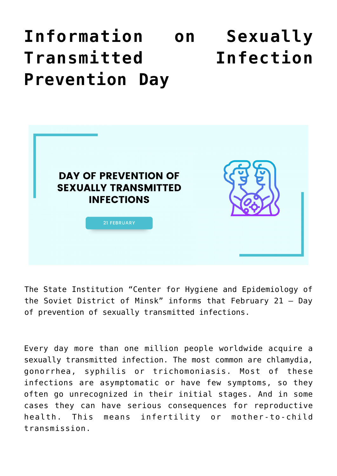## **[Information on Sexually](https://ztem.by/en/news-and-media/news-2022-02-07-2/) [Transmitted Infection](https://ztem.by/en/news-and-media/news-2022-02-07-2/) [Prevention Day](https://ztem.by/en/news-and-media/news-2022-02-07-2/)**



The State Institution "Center for Hygiene and Epidemiology of the Soviet District of Minsk" informs that February 21 – Day of prevention of sexually transmitted infections.

Every day more than one million people worldwide acquire a sexually transmitted infection. The most common are chlamydia, gonorrhea, syphilis or trichomoniasis. Most of these infections are asymptomatic or have few symptoms, so they often go unrecognized in their initial stages. And in some cases they can have serious consequences for reproductive health. This means infertility or mother-to-child transmission.